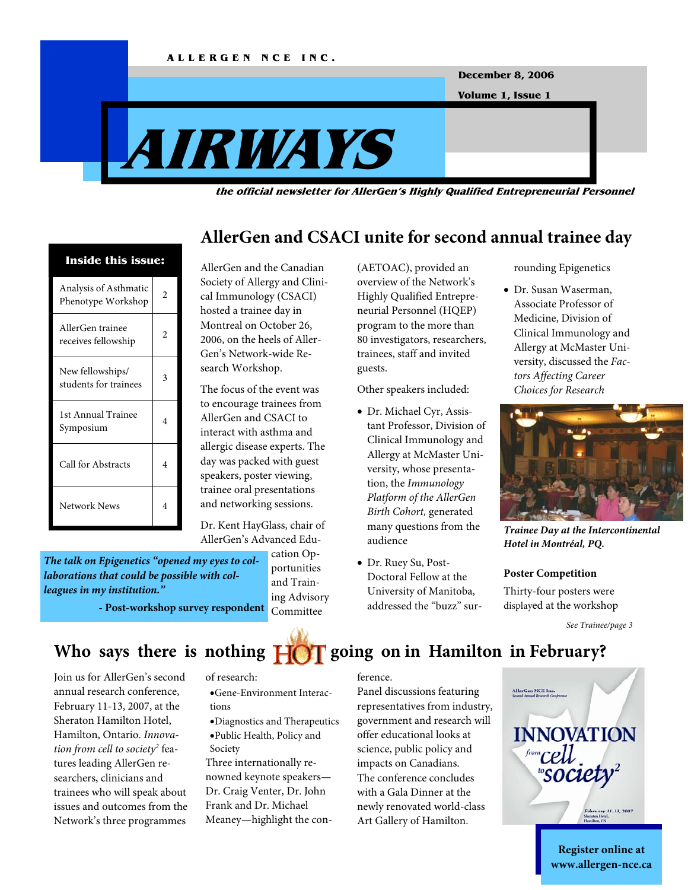

**December 8, 2006** 

**Volume 1, Issue 1** 

# **AIRWAYS**

**the official newsletter for AllerGen's Highly Qualified Entrepreneurial Personnel** 



AllerGen and the Canadian Society of Allergy and Clinical Immunology (CSACI) hosted a trainee day in Montreal on October 26, 2006, on the heels of Aller-Gen's Network-wide Research Workshop.

The focus of the event was to encourage trainees from AllerGen and CSACI to interact with asthma and allergic disease experts. The day was packed with guest speakers, poster viewing, trainee oral presentations and networking sessions.

Dr. Kent HayGlass, chair of AllerGen's Advanced Edu-

*The talk on Epigenetics "opened my eyes to collaborations that could be possible with colleagues in my institution."* 

cation Opportunities and Training Advisory Committee

(AETOAC), provided an overview of the Network's Highly Qualified Entrepreneurial Personnel (HQEP) program to the more than 80 investigators, researchers, trainees, staff and invited guests.

**AllerGen and CSACI unite for second annual trainee day** 

Other speakers included:

- Dr. Michael Cyr, Assistant Professor, Division of Clinical Immunology and Allergy at McMaster University, whose presentation, the *Immunology Platform of the AllerGen Birth Cohort,* generated many questions from the audience
- Dr. Ruey Su, Post-Doctoral Fellow at the University of Manitoba, addressed the "buzz" sur-

rounding Epigenetics

• Dr. Susan Waserman, Associate Professor of Medicine, Division of Clinical Immunology and Allergy at McMaster University, discussed the *Factors Affecting Career Choices for Research*



*Trainee Day at the Intercontinental Hotel in Montréal, PQ.* 

#### **Poster Competition**

Thirty-four posters were displayed at the workshop

*See Trainee/page 3* 

*-* **Post-workshop survey respondent** 

## Who says there is nothing  $\frac{1}{2}$  going on in Hamilton in February?

Join us for AllerGen's second annual research conference, February 11-13, 2007, at the Sheraton Hamilton Hotel, Hamilton, Ontario. *Innovation from cell to society2* features leading AllerGen researchers, clinicians and trainees who will speak about issues and outcomes from the Network's three programmes

of research:

- •Gene-Environment Interactions
- •Diagnostics and Therapeutics •Public Health, Policy and Society

Three internationally renowned keynote speakers— Dr. Craig Venter, Dr. John Frank and Dr. Michael Meaney—highlight the con-

#### ference.

Panel discussions featuring representatives from industry, government and research will offer educational looks at science, public policy and impacts on Canadians. The conference concludes with a Gala Dinner at the newly renovated world-class Art Gallery of Hamilton.



**Register online at www.allergen-nce.ca**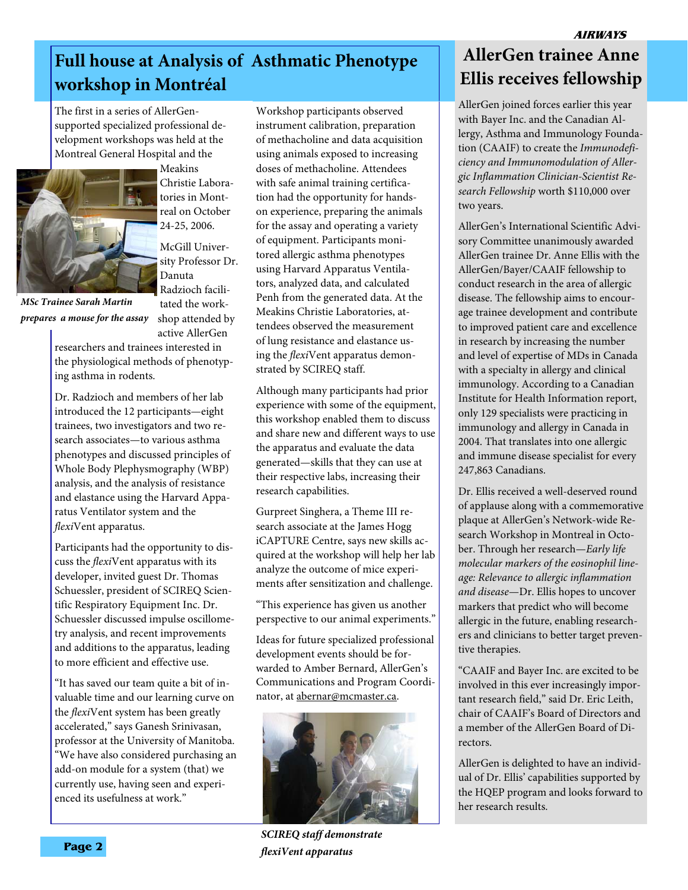## **Full house at Analysis of Asthmatic Phenotype workshop in Montréal**

The first in a series of AllerGensupported specialized professional development workshops was held at the Montreal General Hospital and the



Meakins Christie Laboratories in Montreal on October 24-25, 2006.

McGill University Professor Dr. Danuta Radzioch facilitated the work-

active AllerGen

shop attended by *MSc Trainee Sarah Martin prepares a mouse for the assay* 

researchers and trainees interested in the physiological methods of phenotyping asthma in rodents.

Dr. Radzioch and members of her lab introduced the 12 participants—eight trainees, two investigators and two research associates—to various asthma phenotypes and discussed principles of Whole Body Plephysmography (WBP) analysis, and the analysis of resistance and elastance using the Harvard Apparatus Ventilator system and the *flexi*Vent apparatus.

Participants had the opportunity to discuss the *flexi*Vent apparatus with its developer, invited guest Dr. Thomas Schuessler, president of SCIREQ Scientific Respiratory Equipment Inc. Dr. Schuessler discussed impulse oscillometry analysis, and recent improvements and additions to the apparatus, leading to more efficient and effective use.

"It has saved our team quite a bit of invaluable time and our learning curve on the *flexi*Vent system has been greatly accelerated," says Ganesh Srinivasan, professor at the University of Manitoba. "We have also considered purchasing an add-on module for a system (that) we currently use, having seen and experienced its usefulness at work."

Workshop participants observed instrument calibration, preparation of methacholine and data acquisition using animals exposed to increasing doses of methacholine. Attendees with safe animal training certification had the opportunity for handson experience, preparing the animals for the assay and operating a variety of equipment. Participants monitored allergic asthma phenotypes using Harvard Apparatus Ventilators, analyzed data, and calculated Penh from the generated data. At the Meakins Christie Laboratories, attendees observed the measurement of lung resistance and elastance using the *flexi*Vent apparatus demonstrated by SCIREQ staff.

Although many participants had prior experience with some of the equipment, this workshop enabled them to discuss and share new and different ways to use the apparatus and evaluate the data generated—skills that they can use at their respective labs, increasing their research capabilities.

Gurpreet Singhera, a Theme III research associate at the James Hogg iCAPTURE Centre, says new skills acquired at the workshop will help her lab analyze the outcome of mice experiments after sensitization and challenge.

"This experience has given us another perspective to our animal experiments."

Ideas for future specialized professional development events should be forwarded to Amber Bernard, AllerGen's Communications and Program Coordinator, at abernar@mcmaster.ca.



*SCIREQ staff demonstrate flexiVent apparatus* 

## **AllerGen trainee Anne Ellis receives fellowship**

AllerGen joined forces earlier this year with Bayer Inc. and the Canadian Allergy, Asthma and Immunology Foundation (CAAIF) to create the *Immunodeficiency and Immunomodulation of Allergic Inflammation Clinician-Scientist Research Fellowship* worth \$110,000 over two years.

AllerGen's International Scientific Advisory Committee unanimously awarded AllerGen trainee Dr. Anne Ellis with the AllerGen/Bayer/CAAIF fellowship to conduct research in the area of allergic disease. The fellowship aims to encourage trainee development and contribute to improved patient care and excellence in research by increasing the number and level of expertise of MDs in Canada with a specialty in allergy and clinical immunology. According to a Canadian Institute for Health Information report, only 129 specialists were practicing in immunology and allergy in Canada in 2004. That translates into one allergic and immune disease specialist for every 247,863 Canadians.

Dr. Ellis received a well-deserved round of applause along with a commemorative plaque at AllerGen's Network-wide Research Workshop in Montreal in October. Through her research—*Early life molecular markers of the eosinophil lineage: Relevance to allergic inflammation and disease*—Dr. Ellis hopes to uncover markers that predict who will become allergic in the future, enabling researchers and clinicians to better target preventive therapies.

"CAAIF and Bayer Inc. are excited to be involved in this ever increasingly important research field," said Dr. Eric Leith, chair of CAAIF's Board of Directors and a member of the AllerGen Board of Directors.

AllerGen is delighted to have an individual of Dr. Ellis' capabilities supported by the HQEP program and looks forward to her research results.

 **Page 2**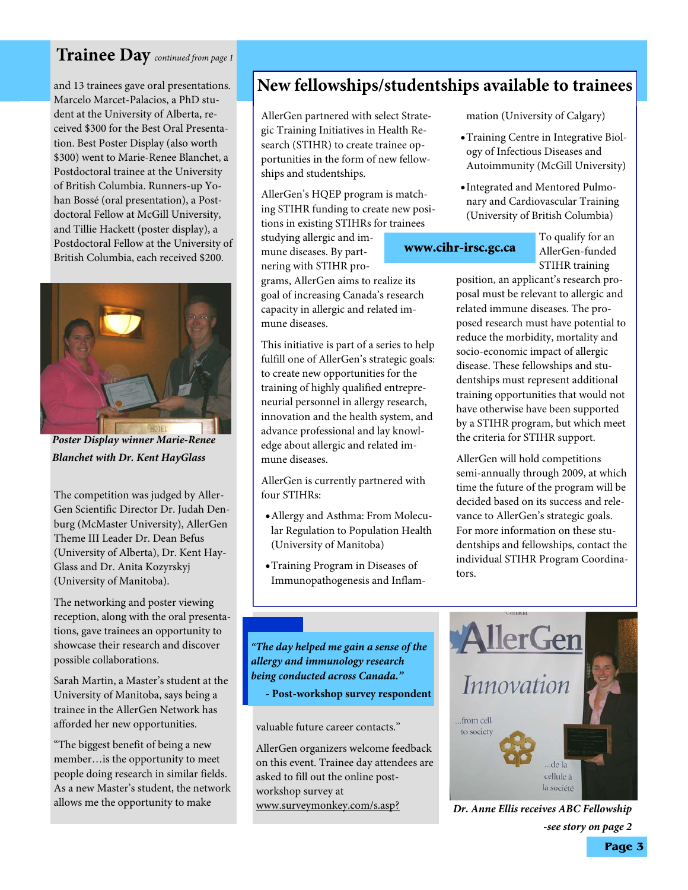### **Trainee Day** *continued from page 1*

and 13 trainees gave oral presentations. Marcelo Marcet-Palacios, a PhD student at the University of Alberta, received \$300 for the Best Oral Presentation. Best Poster Display (also worth \$300) went to Marie-Renee Blanchet, a Postdoctoral trainee at the University of British Columbia. Runners-up Yohan Bossé (oral presentation), a Postdoctoral Fellow at McGill University, and Tillie Hackett (poster display), a Postdoctoral Fellow at the University of British Columbia, each received \$200.



*Poster Display winner Marie-Renee Blanchet with Dr. Kent HayGlass* 

The competition was judged by Aller-Gen Scientific Director Dr. Judah Denburg (McMaster University), AllerGen Theme III Leader Dr. Dean Befus (University of Alberta), Dr. Kent Hay-Glass and Dr. Anita Kozyrskyj (University of Manitoba).

The networking and poster viewing reception, along with the oral presentations, gave trainees an opportunity to showcase their research and discover possible collaborations.

Sarah Martin, a Master's student at the University of Manitoba, says being a trainee in the AllerGen Network has afforded her new opportunities.

"The biggest benefit of being a new member…is the opportunity to meet people doing research in similar fields. As a new Master's student, the network allows me the opportunity to make

## **New fellowships/studentships available to trainees**

AllerGen partnered with select Strategic Training Initiatives in Health Research (STIHR) to create trainee opportunities in the form of new fellowships and studentships.

AllerGen's HQEP program is matching STIHR funding to create new positions in existing STIHRs for trainees

studying allergic and immune diseases. By partnering with STIHR pro-

grams, AllerGen aims to realize its goal of increasing Canada's research capacity in allergic and related immune diseases.

This initiative is part of a series to help fulfill one of AllerGen's strategic goals: to create new opportunities for the training of highly qualified entrepreneurial personnel in allergy research, innovation and the health system, and advance professional and lay knowledge about allergic and related immune diseases.

AllerGen is currently partnered with four STIHRs:

- Allergy and Asthma: From Molecular Regulation to Population Health (University of Manitoba)
- Training Program in Diseases of Immunopathogenesis and Inflam-

mation (University of Calgary)

- Training Centre in Integrative Biology of Infectious Diseases and Autoimmunity (McGill University)
- Integrated and Mentored Pulmonary and Cardiovascular Training (University of British Columbia)

## www.cihr-irsc.gc.ca

To qualify for an AllerGen-funded STIHR training

position, an applicant's research proposal must be relevant to allergic and related immune diseases. The proposed research must have potential to reduce the morbidity, mortality and socio-economic impact of allergic disease. These fellowships and studentships must represent additional training opportunities that would not have otherwise have been supported by a STIHR program, but which meet the criteria for STIHR support.

AllerGen will hold competitions semi-annually through 2009, at which time the future of the program will be decided based on its success and relevance to AllerGen's strategic goals. For more information on these studentships and fellowships, contact the individual STIHR Program Coordinators.

*"The day helped me gain a sense of the allergy and immunology research being conducted across Canada."* 

*-* **Post-workshop survey respondent**

valuable future career contacts."

AllerGen organizers welcome feedback on this event. Trainee day attendees are asked to fill out the online postworkshop survey at www.surveymonkey.com/s.asp?



*Dr. Anne Ellis receives ABC Fellowship -see story on page 2*